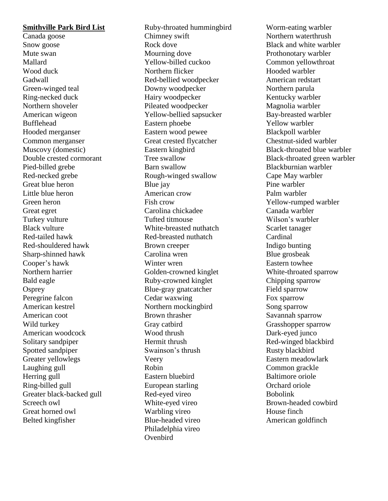#### **Smithville Park Bird List**

Canada goose Snow goose Mute swan Mallard Wood duck Gadwall Green-winged teal Ring-necked duck Northern shoveler American wigeon Bufflehead Hooded merganser Common merganser Muscovy (domestic) Double crested cormorant Pied-billed grebe Red-necked grebe Great blue heron Little blue heron Green heron Great egret Turkey vulture Black vulture Red-tailed hawk Red-shouldered hawk Sharp-shinned hawk Cooper's hawk Northern harrier Bald eagle **Osprey** Peregrine falcon American kestrel American coot Wild turkey American woodcock Solitary sandpiper Spotted sandpiper Greater yellowlegs Laughing gull Herring gull Ring-billed gull Greater black-backed gull Screech owl Great horned owl Belted kingfisher

Ruby-throated hummingbird Chimney swift Rock dove Mourning dove Yellow-billed cuckoo Northern flicker Red-bellied woodpecker Downy woodpecker Hairy woodpecker Pileated woodpecker Yellow-bellied sapsucker Eastern phoebe Eastern wood pewee Great crested flycatcher Eastern kingbird Tree swallow Barn swallow Rough-winged swallow Blue jay American crow Fish crow Carolina chickadee Tufted titmouse White-breasted nuthatch Red-breasted nuthatch Brown creeper Carolina wren Winter wren Golden-crowned kinglet Ruby-crowned kinglet Blue-gray gnatcatcher Cedar waxwing Northern mockingbird Brown thrasher Gray catbird Wood thrush Hermit thrush Swainson's thrush Veery Robin Eastern bluebird European starling Red-eyed vireo White-eyed vireo Warbling vireo Blue-headed vireo Philadelphia vireo **Ovenbird** 

Worm-eating warbler Northern waterthrush Black and white warbler Prothonotary warbler Common yellowthroat Hooded warbler American redstart Northern parula Kentucky warbler Magnolia warbler Bay-breasted warbler Yellow warbler Blackpoll warbler Chestnut-sided warbler Black-throated blue warbler Black-throated green warbler Blackburnian warbler Cape May warbler Pine warbler Palm warbler Yellow-rumped warbler Canada warbler Wilson's warbler Scarlet tanager Cardinal Indigo bunting Blue grosbeak Eastern towhee White-throated sparrow Chipping sparrow Field sparrow Fox sparrow Song sparrow Savannah sparrow Grasshopper sparrow Dark-eyed junco Red-winged blackbird Rusty blackbird Eastern meadowlark Common grackle Baltimore oriole Orchard oriole Bobolink Brown-headed cowbird House finch American goldfinch